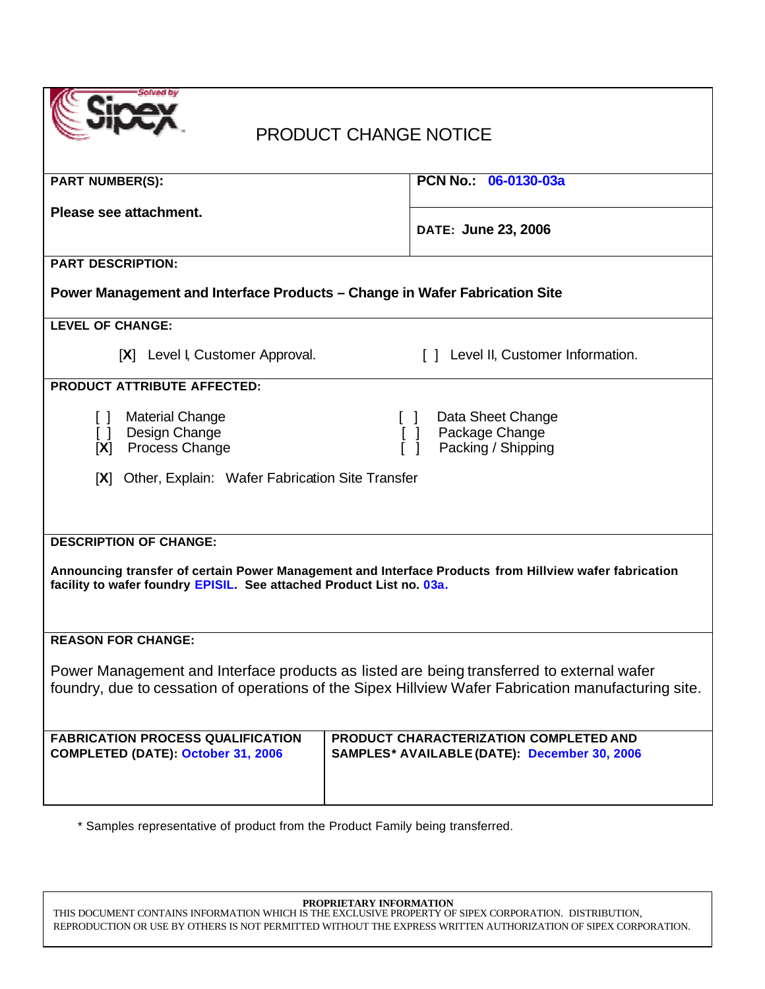|  | Solved by |
|--|-----------|
|  |           |
|  |           |
|  |           |

# PRODUCT CHANGE NOTICE

| <b>PART NUMBER(S):</b>                                                                                                                                                                           | PCN No.: 06-0130-03a                                                                                     |  |
|--------------------------------------------------------------------------------------------------------------------------------------------------------------------------------------------------|----------------------------------------------------------------------------------------------------------|--|
| Please see attachment.                                                                                                                                                                           | DATE: June 23, 2006                                                                                      |  |
|                                                                                                                                                                                                  |                                                                                                          |  |
| <b>PART DESCRIPTION:</b>                                                                                                                                                                         |                                                                                                          |  |
| Power Management and Interface Products - Change in Wafer Fabrication Site                                                                                                                       |                                                                                                          |  |
| <b>LEVEL OF CHANGE:</b>                                                                                                                                                                          |                                                                                                          |  |
| [X] Level I, Customer Approval.                                                                                                                                                                  | [ ] Level II, Customer Information.                                                                      |  |
| <b>PRODUCT ATTRIBUTE AFFECTED:</b>                                                                                                                                                               |                                                                                                          |  |
| <b>Material Change</b><br>$\Box$<br>Design Change<br>$\Box$<br>[X] Process Change                                                                                                                | Data Sheet Change<br>$\Box$<br>Package Change<br>$\begin{bmatrix} 1 \end{bmatrix}$<br>Packing / Shipping |  |
| [X] Other, Explain: Wafer Fabrication Site Transfer                                                                                                                                              |                                                                                                          |  |
|                                                                                                                                                                                                  |                                                                                                          |  |
|                                                                                                                                                                                                  |                                                                                                          |  |
| <b>DESCRIPTION OF CHANGE:</b>                                                                                                                                                                    |                                                                                                          |  |
| Announcing transfer of certain Power Management and Interface Products from Hillview wafer fabrication<br>facility to wafer foundry EPISIL. See attached Product List no. 03a.                   |                                                                                                          |  |
| <b>REASON FOR CHANGE:</b>                                                                                                                                                                        |                                                                                                          |  |
| Power Management and Interface products as listed are being transferred to external wafer<br>foundry, due to cessation of operations of the Sipex Hillview Wafer Fabrication manufacturing site. |                                                                                                          |  |
| <b>FABRICATION PROCESS QUALIFICATION</b>                                                                                                                                                         | PRODUCT CHARACTERIZATION COMPLETED AND                                                                   |  |
| <b>COMPLETED (DATE): October 31, 2006</b>                                                                                                                                                        | SAMPLES* AVAILABLE (DATE): December 30, 2006                                                             |  |
|                                                                                                                                                                                                  |                                                                                                          |  |
|                                                                                                                                                                                                  |                                                                                                          |  |

\* Samples representative of product from the Product Family being transferred.

**PROPRIETARY INFORMATION**

THIS DOCUMENT CONTAINS INFORMATION WHICH IS THE EXCLUSIVE PROPERTY OF SIPEX CORPORATION. DISTRIBUTION, REPRODUCTION OR USE BY OTHERS IS NOT PERMITTED WITHOUT THE EXPRESS WRITTEN AUTHORIZATION OF SIPEX CORPORATION.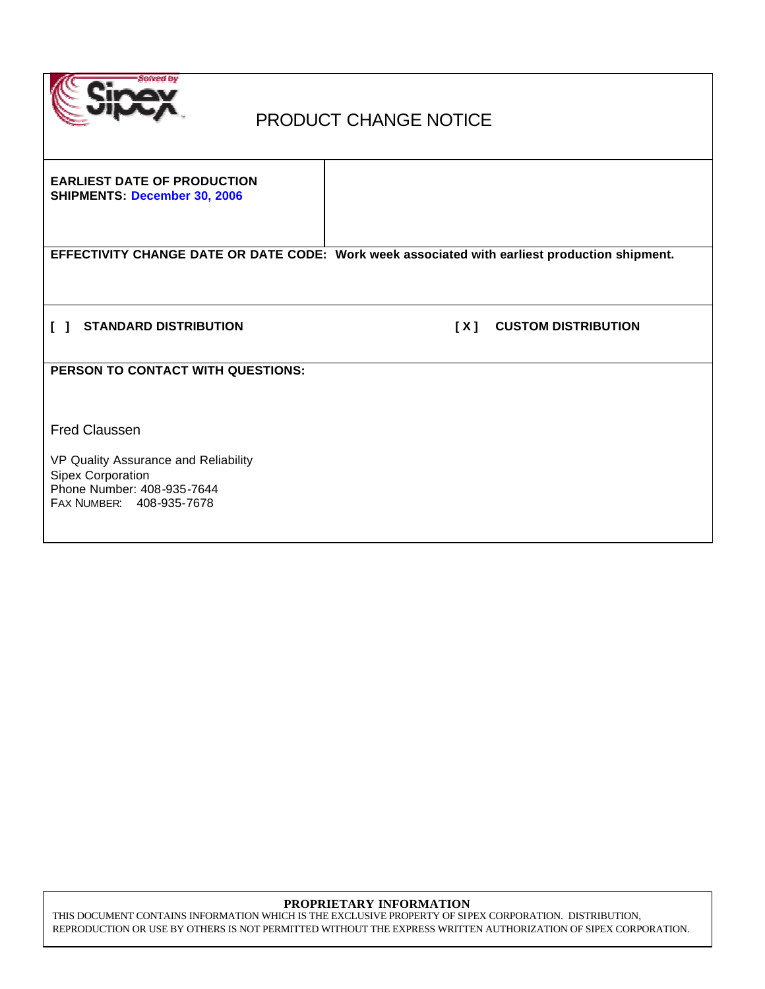

## PRODUCT CHANGE NOTICE

**EARLIEST DATE OF PRODUCTION SHIPMENTS: December 30, 2006**

**EFFECTIVITY CHANGE DATE OR DATE CODE: Work week associated with earliest production shipment.**

**[ ] STANDARD DISTRIBUTION [ X ] CUSTOM DISTRIBUTION** 

**PERSON TO CONTACT WITH QUESTIONS:**

Fred Claussen

VP Quality Assurance and Reliability Sipex Corporation Phone Number: 408-935-7644 FAX NUMBER: 408-935-7678

#### **PROPRIETARY INFORMATION**

THIS DOCUMENT CONTAINS INFORMATION WHICH IS THE EXCLUSIVE PROPERTY OF SIPEX CORPORATION. DISTRIBUTION, REPRODUCTION OR USE BY OTHERS IS NOT PERMITTED WITHOUT THE EXPRESS WRITTEN AUTHORIZATION OF SIPEX CORPORATION.